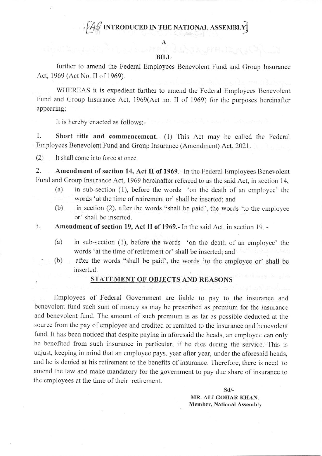# $\hat{A}\hat{\ll}$  introduced in the national assembly

#### **BILL**

further to amend the Federal Employees Benevolent Fund and Group Insurance Act, 1969 (Act No. II of 1969).

WHEREAS it is expedient further to amend the Federal Employees Benevolent Fund and Group Insurance Act, 1969(Act no. II of 1969) for the purposes hereinafter appearing;

It is hereby enacted as follows:-

1. Short title and commencement.- (1) This Act may be called the Federal Employees Benevolent Fund and Group Insurance (Amendment) Act, 2021.

 $(2)$ It shall come into force at once.

2. Amendment of section 14, Act II of 1969.- In the Federal Employees Benevolent Fund and Group Insurance Act, 1969 hereinafter referred to as the said Act, in section 14,

- in sub-section (1), before the words 'on the death of an employee' the  $(a)$ words 'at the time of retirement or' shall be inserted; and
- in section (2), after the words "shall be paid', the words 'to the employee  $(b)$ or' shall be inserted.

Amendment of section 19, Act II of 1969.- In the said Act, in section 19. -3.

- $(a)$ in sub-section (1), before the words 'on the death of an employee' the words 'at the time of retirement or' shall be inserted; and
- after the words "shall be paid', the words 'to the employee or' shall be  $(b)$ inserted.

### STATEMENT OF OBJECTS AND REASONS

Employees of Federal Government are liable to pay to the insurance and benevolent fund such sum of money as may be prescribed as premium for the insurance and benevolent fund. The amount of such premium is as far as possible deducted at the source from the pay of employee and credited or remitted to the insurance and benevolent fund. It has been noticed that despite paying in aforesaid the heads, an employee can only be benefited from such insurance in particular, if he dies during the service. This is unjust, keeping in mind that an employee pays, year after year, under the aforesaid heads, and he is denied at his retirement to the benefits of insurance. Therefore, there is need to amend the law and make mandatory for the government to pay due share of insurance to the employees at the time of their retirement.

> $Sd$ /-MR. ALI GOHAR KHAN. Member, National Assembly